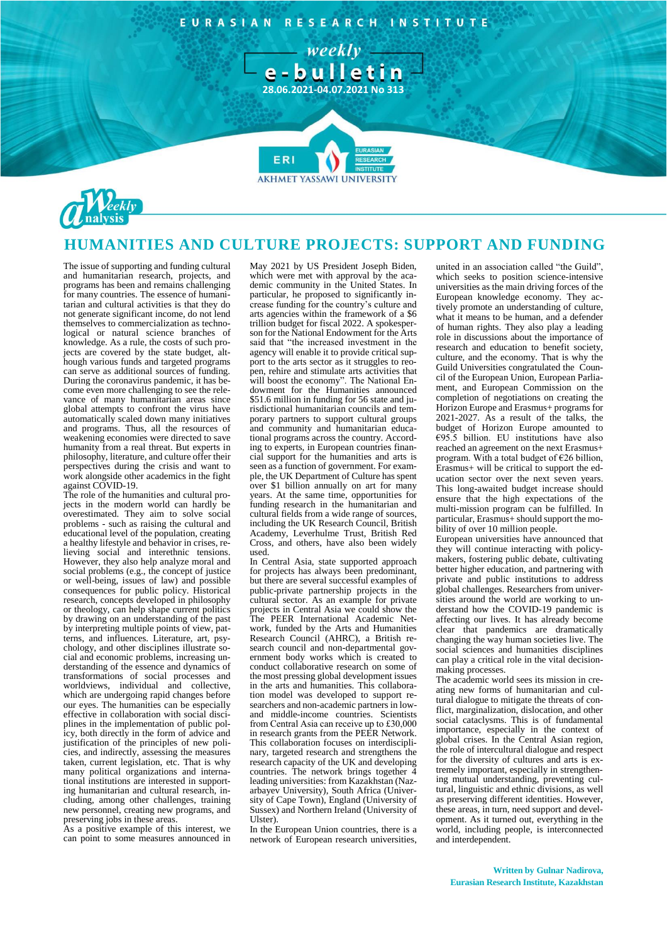EURASIAN RESEARCH INSTITUTE

weeklye-bulletin

**28.06.2021-04.07.2021 No 313**

**FR** 



## **HUMANITIES AND CULTURE PROJECTS: SUPPORT AND FUNDING**

**AKHMET YASSAWI UNIVERSIT** 

The issue of supporting and funding cultural and humanitarian research, projects, and programs has been and remains challenging for many countries. The essence of humanitarian and cultural activities is that they do not generate significant income, do not lend themselves to commercialization as technological or natural science branches of knowledge. As a rule, the costs of such projects are covered by the state budget, although various funds and targeted programs can serve as additional sources of funding. During the coronavirus pandemic, it has become even more challenging to see the relevance of many humanitarian areas since global attempts to confront the virus have automatically scaled down many initiatives and programs. Thus, all the resources of weakening economies were directed to save humanity from a real threat. But experts in philosophy, literature, and culture offer their perspectives during the crisis and want to work alongside other academics in the fight against COVID-19.

The role of the humanities and cultural projects in the modern world can hardly be overestimated. They aim to solve social problems - such as raising the cultural and educational level of the population, creating a healthy lifestyle and behavior in crises, relieving social and interethnic tensions. However, they also help analyze moral and social problems (e.g., the concept of justice or well-being, issues of law) and possible consequences for public policy. Historical research, concepts developed in philosophy or theology, can help shape current politics by drawing on an understanding of the past by interpreting multiple points of view, patterns, and influences. Literature, art, psychology, and other disciplines illustrate social and economic problems, increasing understanding of the essence and dynamics of transformations of social processes and worldviews, individual and collective, which are undergoing rapid changes before our eyes. The humanities can be especially effective in collaboration with social disciplines in the implementation of public policy, both directly in the form of advice and justification of the principles of new policies, and indirectly, assessing the measures taken, current legislation, etc. That is why many political organizations and international institutions are interested in supporting humanitarian and cultural research, including, among other challenges, training new personnel, creating new programs, and preserving jobs in these areas.

As a positive example of this interest, we can point to some measures announced in

May 2021 by US President Joseph Biden, which were met with approval by the academic community in the United States. In particular, he proposed to significantly increase funding for the country's culture and arts agencies within the framework of a \$6 trillion budget for fiscal 2022. A spokesperson for the National Endowment for the Arts said that "the increased investment in the agency will enable it to provide critical support to the arts sector as it struggles to reopen, rehire and stimulate arts activities that will boost the economy". The National Endowment for the Humanities announced \$51.6 million in funding for 56 state and jurisdictional humanitarian councils and temporary partners to support cultural groups and community and humanitarian educational programs across the country. According to experts, in European countries financial support for the humanities and arts is seen as a function of government. For example, the UK Department of Culture has spent over \$1 billion annually on art for many years. At the same time, opportunities for funding research in the humanitarian and cultural fields from a wide range of sources, including the UK Research Council, British Academy, Leverhulme Trust, British Red Cross, and others, have also been widely used.

In Central Asia, state supported approach for projects has always been predominant, but there are several successful examples of public-private partnership projects in the cultural sector. As an example for private projects in Central Asia we could show the The PEER International Academic Network, funded by the Arts and Humanities Research Council (AHRC), a British research council and non-departmental government body works which is created to conduct collaborative research on some of the most pressing global development issues in the arts and humanities. This collaboration model was developed to support researchers and non-academic partners in lowand middle-income countries. Scientists from Central Asia can receive up to £30,000 in research grants from the PEER Network. This collaboration focuses on interdisciplinary, targeted research and strengthens the research capacity of the UK and developing countries. The network brings together 4 leading universities: from Kazakhstan (Nazarbayev University), South Africa (University of Cape Town), England (University of Sussex) and Northern Ireland (University of Ulster).

In the European Union countries, there is a network of European research universities, united in an association called "the Guild", which seeks to position science-intensive universities as the main driving forces of the European knowledge economy. They actively promote an understanding of culture, what it means to be human, and a defender of human rights. They also play a leading role in discussions about the importance of research and education to benefit society, culture, and the economy. That is why the Guild Universities congratulated the Council of the European Union, European Parliament, and European Commission on the completion of negotiations on creating the Horizon Europe and Erasmus+ programs for 2021-2027. As a result of the talks, the budget of Horizon Europe amounted to €95.5 billion. EU institutions have also reached an agreement on the next Erasmus+ program. With a total budget of €26 billion, Erasmus+ will be critical to support the education sector over the next seven years. This long-awaited budget increase should ensure that the high expectations of the multi-mission program can be fulfilled. In particular, Erasmus+ should support the mobility of over 10 million people.

European universities have announced that they will continue interacting with policymakers, fostering public debate, cultivating better higher education, and partnering with private and public institutions to address global challenges. Researchers from universities around the world are working to understand how the COVID-19 pandemic is affecting our lives. It has already become clear that pandemics are dramatically changing the way human societies live. The social sciences and humanities disciplines can play a critical role in the vital decisionmaking processes.

The academic world sees its mission in creating new forms of humanitarian and cultural dialogue to mitigate the threats of conflict, marginalization, dislocation, and other social cataclysms. This is of fundamental importance, especially in the context of global crises. In the Central Asian region, the role of intercultural dialogue and respect for the diversity of cultures and arts is extremely important, especially in strengthening mutual understanding, preventing cultural, linguistic and ethnic divisions, as well as preserving different identities. However, these areas, in turn, need support and development. As it turned out, everything in the world, including people, is interconnected and interdependent.